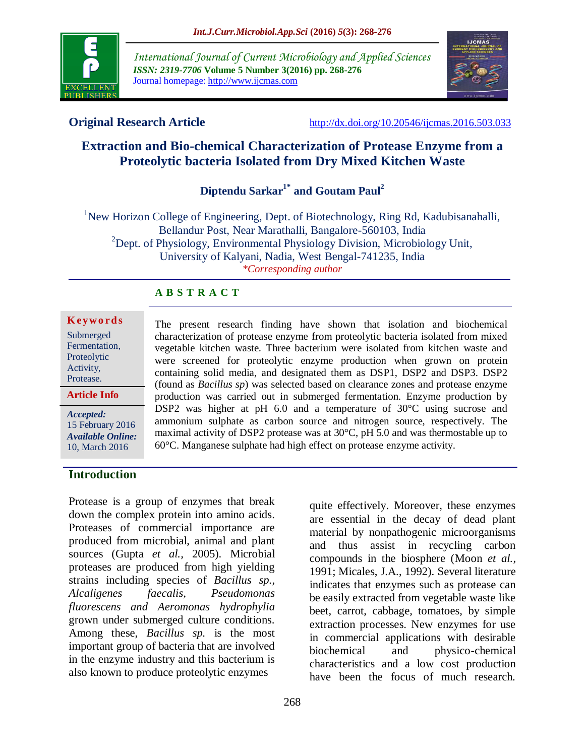

*International Journal of Current Microbiology and Applied Sciences ISSN: 2319-7706* **Volume 5 Number 3(2016) pp. 268-276** Journal homepage: http://www.ijcmas.com



**Original Research Article** <http://dx.doi.org/10.20546/ijcmas.2016.503.033>

# **Extraction and Bio-chemical Characterization of Protease Enzyme from a Proteolytic bacteria Isolated from Dry Mixed Kitchen Waste**

**Diptendu Sarkar1\* and Goutam Paul<sup>2</sup>**

<sup>1</sup>New Horizon College of Engineering, Dept. of Biotechnology, Ring Rd, Kadubisanahalli, Bellandur Post, Near Marathalli, Bangalore-560103, India  $^{2}$ Dept. of Physiology, Environmental Physiology Division, Microbiology Unit, University of Kalyani, Nadia, West Bengal-741235, India *\*Corresponding author*

## **A B S T R A C T**

#### **K ey w o rd s** Submerged

| Submerged     |
|---------------|
| Fermentation, |
| Proteolytic   |
| Activity,     |
| Protease.     |
|               |

**Article Info**

*Accepted:*  15 February 2016 *Available Online:* 10, March 2016

The present research finding have shown that isolation and biochemical characterization of protease enzyme from proteolytic bacteria isolated from mixed vegetable kitchen waste. Three bacterium were isolated from kitchen waste and were screened for proteolytic enzyme production when grown on protein containing solid media, and designated them as DSP1, DSP2 and DSP3. DSP2 (found as *Bacillus sp*) was selected based on clearance zones and protease enzyme production was carried out in submerged fermentation. Enzyme production by DSP2 was higher at pH 6.0 and a temperature of 30°C using sucrose and ammonium sulphate as carbon source and nitrogen source, respectively. The maximal activity of DSP2 protease was at 30°C, pH 5.0 and was thermostable up to 60°C. Manganese sulphate had high effect on protease enzyme activity.

## **Introduction**

Protease is a group of enzymes that break down the complex protein into amino acids. Proteases of commercial importance are produced from microbial, animal and plant sources (Gupta *et al.,* 2005). Microbial proteases are produced from high yielding strains including species of *Bacillus sp., Alcaligenes faecalis, Pseudomonas fluorescens and Aeromonas hydrophylia* grown under submerged culture conditions. Among these, *Bacillus sp.* is the most important group of bacteria that are involved in the enzyme industry and this bacterium is also known to produce proteolytic enzymes

are essential in the decay of dead plant material by nonpathogenic microorganisms and thus assist in recycling carbon compounds in the biosphere (Moon *et al.,* 1991; Micales, J.A., 1992). Several literature indicates that enzymes such as protease can be easily extracted from vegetable waste like beet, carrot, cabbage, tomatoes, by simple extraction processes. New enzymes for use in commercial applications with desirable biochemical and physico-chemical characteristics and a low cost production have been the focus of much research.

quite effectively. Moreover, these enzymes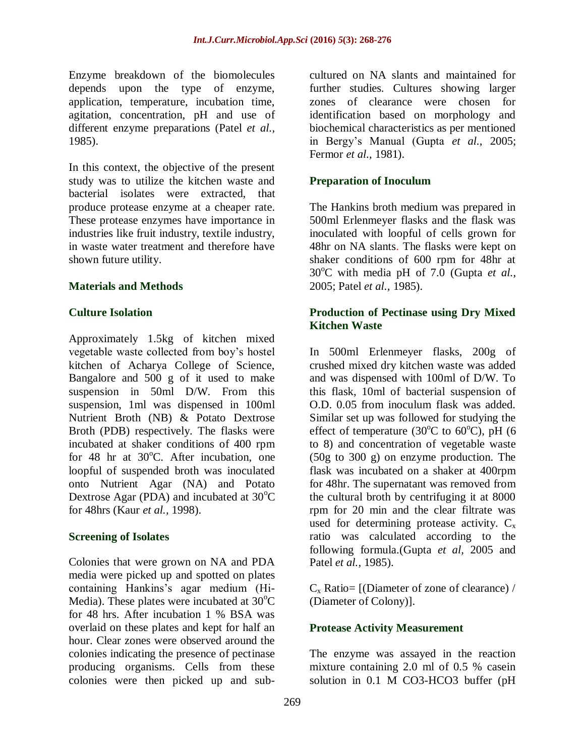Enzyme breakdown of the biomolecules depends upon the type of enzyme, application, temperature, incubation time, agitation, concentration, pH and use of different enzyme preparations (Patel *et al.,* 1985).

In this context, the objective of the present study was to utilize the kitchen waste and bacterial isolates were extracted, that produce protease enzyme at a cheaper rate. These protease enzymes have importance in industries like fruit industry, textile industry, in waste water treatment and therefore have shown future utility.

## **Materials and Methods**

## **Culture Isolation**

Approximately 1.5kg of kitchen mixed vegetable waste collected from boy's hostel kitchen of Acharya College of Science, Bangalore and 500 g of it used to make suspension in 50ml D/W. From this suspension, 1ml was dispensed in 100ml Nutrient Broth (NB) & Potato Dextrose Broth (PDB) respectively. The flasks were incubated at shaker conditions of 400 rpm for 48 hr at  $30^{\circ}$ C. After incubation, one loopful of suspended broth was inoculated onto Nutrient Agar (NA) and Potato Dextrose Agar (PDA) and incubated at  $30^{\circ}$ C for 48hrs (Kaur *et al.,* 1998).

#### **Screening of Isolates**

Colonies that were grown on NA and PDA media were picked up and spotted on plates containing Hankins's agar medium (Hi-Media). These plates were incubated at  $30^{\circ}$ C for 48 hrs. After incubation 1 % BSA was overlaid on these plates and kept for half an hour. Clear zones were observed around the colonies indicating the presence of pectinase producing organisms. Cells from these colonies were then picked up and subcultured on NA slants and maintained for further studies. Cultures showing larger zones of clearance were chosen for identification based on morphology and biochemical characteristics as per mentioned in Bergy's Manual (Gupta *et al.,* 2005; Fermor *et al.,* 1981).

## **Preparation of Inoculum**

The Hankins broth medium was prepared in 500ml Erlenmeyer flasks and the flask was inoculated with loopful of cells grown for 48hr on NA slants. The flasks were kept on shaker conditions of 600 rpm for 48hr at 30<sup>o</sup>C with media pH of 7.0 (Gupta *et al.*, 2005; Patel *et al.,* 1985).

## **Production of Pectinase using Dry Mixed Kitchen Waste**

In 500ml Erlenmeyer flasks, 200g of crushed mixed dry kitchen waste was added and was dispensed with 100ml of D/W. To this flask, 10ml of bacterial suspension of O.D. 0.05 from inoculum flask was added. Similar set up was followed for studying the effect of temperature (30 $^{\circ}$ C to 60 $^{\circ}$ C), pH (6 to 8) and concentration of vegetable waste (50g to 300 g) on enzyme production. The flask was incubated on a shaker at 400rpm for 48hr. The supernatant was removed from the cultural broth by centrifuging it at 8000 rpm for 20 min and the clear filtrate was used for determining protease activity.  $C_x$ ratio was calculated according to the following formula.(Gupta *et al,* 2005 and Patel *et al.,* 1985).

 $C_x$  Ratio= [(Diameter of zone of clearance) / (Diameter of Colony)].

## **Protease Activity Measurement**

The enzyme was assayed in the reaction mixture containing 2.0 ml of 0.5 % casein solution in 0.1 M CO3-HCO3 buffer (pH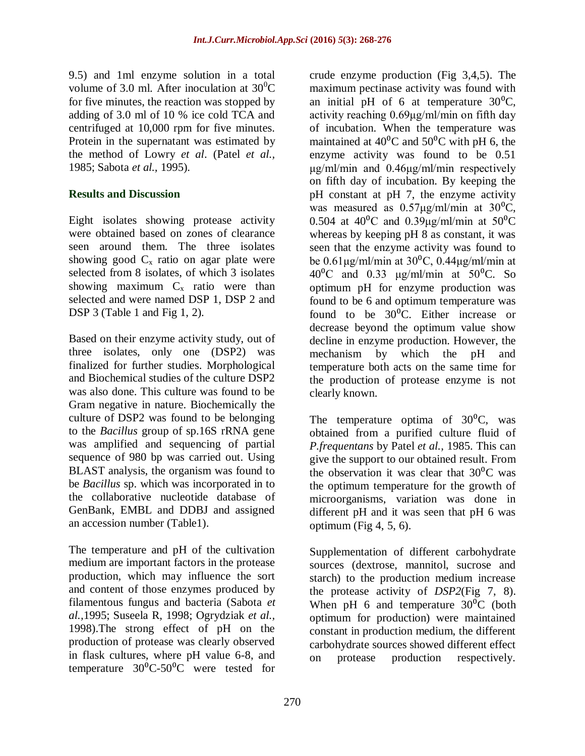9.5) and 1ml enzyme solution in a total volume of 3.0 ml. After inoculation at  $30^0C$ for five minutes, the reaction was stopped by adding of 3.0 ml of 10 % ice cold TCA and centrifuged at 10,000 rpm for five minutes. Protein in the supernatant was estimated by the method of Lowry *et al*. (Patel *et al.,* 1985; Sabota *et al.,* 1995).

## **Results and Discussion**

Eight isolates showing protease activity were obtained based on zones of clearance seen around them. The three isolates showing good  $C_x$  ratio on agar plate were selected from 8 isolates, of which 3 isolates showing maximum  $C_x$  ratio were than selected and were named DSP 1, DSP 2 and DSP 3 (Table 1 and Fig 1, 2).

Based on their enzyme activity study, out of three isolates, only one (DSP2) was finalized for further studies. Morphological and Biochemical studies of the culture DSP2 was also done. This culture was found to be Gram negative in nature. Biochemically the culture of DSP2 was found to be belonging to the *Bacillus* group of sp.16S rRNA gene was amplified and sequencing of partial sequence of 980 bp was carried out. Using BLAST analysis, the organism was found to be *Bacillus* sp. which was incorporated in to the collaborative nucleotide database of GenBank, EMBL and DDBJ and assigned an accession number (Table1).

The temperature and pH of the cultivation medium are important factors in the protease production, which may influence the sort and content of those enzymes produced by filamentous fungus and bacteria (Sabota *et al.,*1995; Suseela R, 1998; Ogrydziak *et al.,* 1998).The strong effect of pH on the production of protease was clearly observed in flask cultures, where pH value 6-8, and temperature  $30^{\circ}$ C-50<sup>o</sup>C were tested for

crude enzyme production (Fig 3,4,5). The maximum pectinase activity was found with an initial pH of 6 at temperature  $30^{\circ}$ C, activity reaching 0.69μg/ml/min on fifth day of incubation. When the temperature was maintained at  $40^{\circ}$ C and  $50^{\circ}$ C with pH 6, the enzyme activity was found to be 0.51 μg/ml/min and 0.46μg/ml/min respectively on fifth day of incubation. By keeping the pH constant at pH 7, the enzyme activity was measured as  $0.57\mu g/ml/min$  at  $30^{\circ}C$ , 0.504 at  $40^{\circ}$ C and 0.39ug/ml/min at  $50^{\circ}$ C whereas by keeping pH 8 as constant, it was seen that the enzyme activity was found to be  $0.61 \mu$ g/ml/min at  $30^{\circ}$ C,  $0.44 \mu$ g/ml/min at  $40^{\circ}$ C and 0.33  $\mu$ g/ml/min at 50<sup>o</sup>C. So optimum pH for enzyme production was found to be 6 and optimum temperature was found to be  $30^{\circ}$ C. Either increase or decrease beyond the optimum value show decline in enzyme production. However, the mechanism by which the pH and temperature both acts on the same time for the production of protease enzyme is not clearly known.

The temperature optima of  $30^{\circ}$ C, was obtained from a purified culture fluid of *P.frequentans* by Patel *et al.,* 1985. This can give the support to our obtained result. From the observation it was clear that  $30^{\circ}$ C was the optimum temperature for the growth of microorganisms, variation was done in different pH and it was seen that pH 6 was optimum (Fig  $4, 5, 6$ ).

Supplementation of different carbohydrate sources (dextrose, mannitol, sucrose and starch) to the production medium increase the protease activity of *DSP2*(Fig 7, 8). When pH 6 and temperature  $30^{\circ}$ C (both optimum for production) were maintained constant in production medium, the different carbohydrate sources showed different effect on protease production respectively.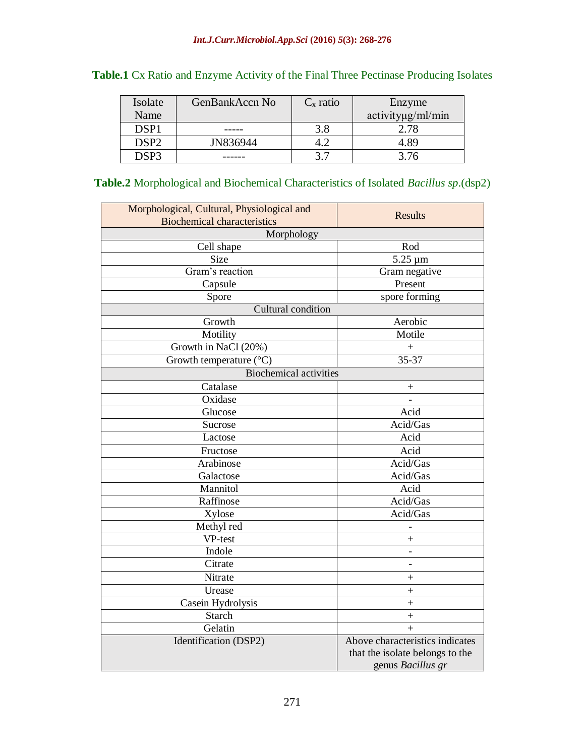| Isolate | GenBankAccn No | $C_{x}$ ratio | Enzyme            |
|---------|----------------|---------------|-------------------|
| Name    |                |               | activityug/ml/min |
| DSP1    |                | 3.8           | 2.78              |
| DSP2    | JN836944       |               | 4.89              |
| DSP3    |                |               |                   |

## **Table.1** Cx Ratio and Enzyme Activity of the Final Three Pectinase Producing Isolates

## **Table.2** Morphological and Biochemical Characteristics of Isolated *Bacillus sp*.(dsp2)

| <b>Biochemical characteristics</b> | <b>Results</b>                                                     |  |  |  |
|------------------------------------|--------------------------------------------------------------------|--|--|--|
|                                    |                                                                    |  |  |  |
| Morphology                         |                                                                    |  |  |  |
| Cell shape                         | Rod                                                                |  |  |  |
| Size                               | $5.25 \mu m$                                                       |  |  |  |
| Gram's reaction                    | Gram negative                                                      |  |  |  |
| Capsule                            | Present                                                            |  |  |  |
| Spore                              | spore forming                                                      |  |  |  |
| Cultural condition                 |                                                                    |  |  |  |
| Growth                             | Aerobic                                                            |  |  |  |
| Motility                           | Motile                                                             |  |  |  |
| Growth in NaCl (20%)               | $^{+}$                                                             |  |  |  |
| Growth temperature (°C)            | $35 - 37$                                                          |  |  |  |
| <b>Biochemical activities</b>      |                                                                    |  |  |  |
| Catalase                           | $\overline{+}$                                                     |  |  |  |
| Oxidase                            |                                                                    |  |  |  |
| Glucose                            | Acid                                                               |  |  |  |
| Sucrose                            | Acid/Gas                                                           |  |  |  |
| Lactose                            | Acid                                                               |  |  |  |
| Fructose                           | Acid                                                               |  |  |  |
| Arabinose                          | Acid/Gas                                                           |  |  |  |
| Galactose                          | Acid/Gas                                                           |  |  |  |
| Mannitol                           | Acid                                                               |  |  |  |
| Raffinose                          | Acid/Gas                                                           |  |  |  |
| Xylose                             | Acid/Gas                                                           |  |  |  |
| Methyl red                         |                                                                    |  |  |  |
| VP-test                            | $\ddot{}$                                                          |  |  |  |
| Indole                             |                                                                    |  |  |  |
| Citrate                            | $\overline{\phantom{0}}$                                           |  |  |  |
| Nitrate                            | $\hspace{0.1mm} +$                                                 |  |  |  |
| Urease                             | $^{+}$                                                             |  |  |  |
| Casein Hydrolysis                  | $\ddot{}$                                                          |  |  |  |
| Starch                             | $\! +$                                                             |  |  |  |
| Gelatin                            | $+$                                                                |  |  |  |
| Identification (DSP2)              | Above characteristics indicates<br>that the isolate belongs to the |  |  |  |
|                                    | genus Bacillus gr                                                  |  |  |  |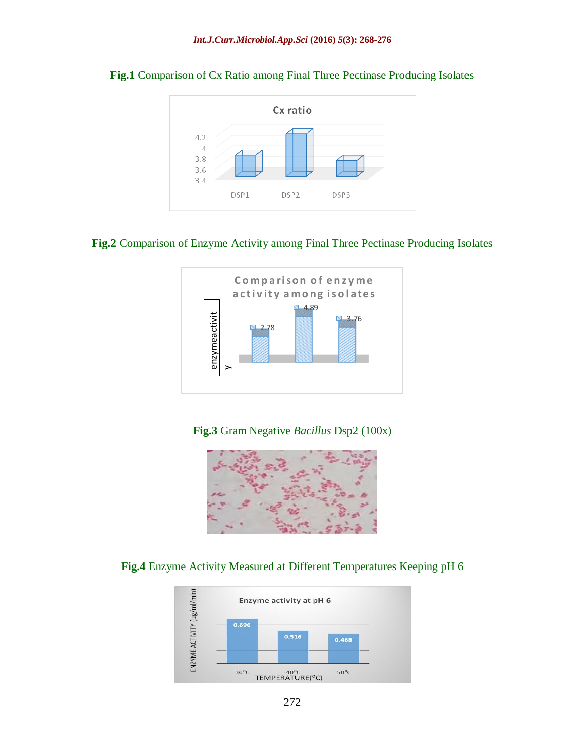

## **Fig.1** Comparison of Cx Ratio among Final Three Pectinase Producing Isolates

## **Fig.2** Comparison of Enzyme Activity among Final Three Pectinase Producing Isolates



**Fig.3** Gram Negative *Bacillus* Dsp2 (100x)



**Fig.4** Enzyme Activity Measured at Different Temperatures Keeping pH 6

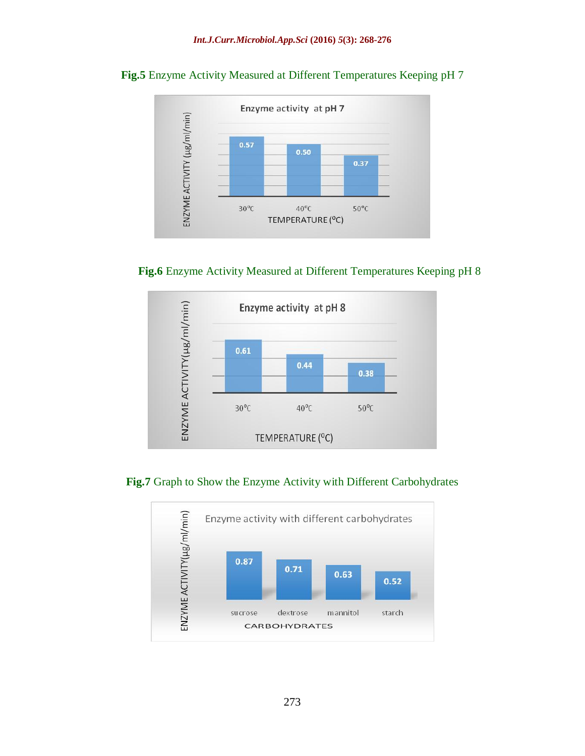

## **Fig.5** Enzyme Activity Measured at Different Temperatures Keeping pH 7







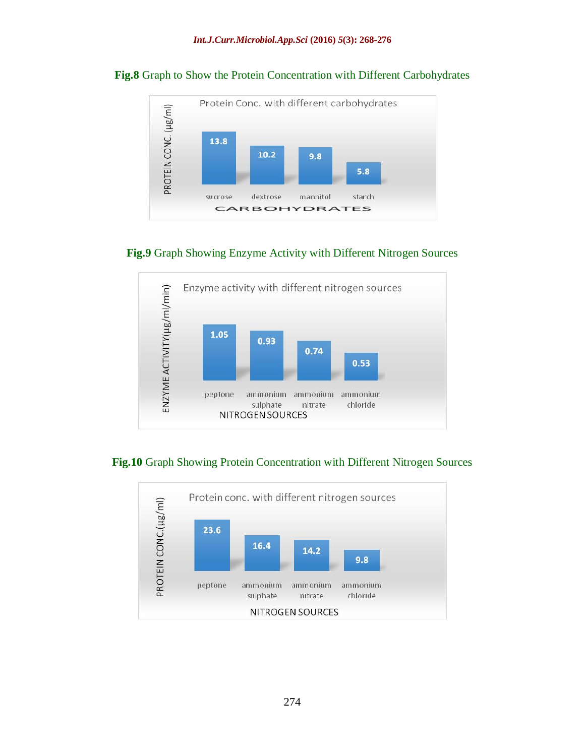

#### **Fig.8** Graph to Show the Protein Concentration with Different Carbohydrates

## **Fig.9** Graph Showing Enzyme Activity with Different Nitrogen Sources



## **Fig.10** Graph Showing Protein Concentration with Different Nitrogen Sources

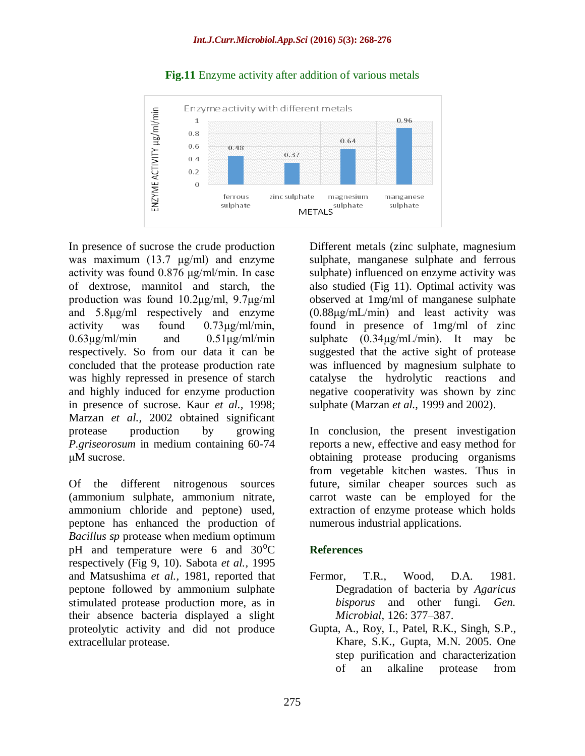

## **Fig.11** Enzyme activity after addition of various metals

In presence of sucrose the crude production was maximum (13.7 μg/ml) and enzyme activity was found 0.876 μg/ml/min. In case of dextrose, mannitol and starch, the production was found 10.2μg/ml, 9.7μg/ml and 5.8μg/ml respectively and enzyme activity was found 0.73μg/ml/min,  $0.63\mu$ g/ml/min and  $0.51\mu$ g/ml/min respectively. So from our data it can be concluded that the protease production rate was highly repressed in presence of starch and highly induced for enzyme production in presence of sucrose. Kaur *et al.,* 1998; Marzan *et al.,* 2002 obtained significant protease production by growing *P.griseorosum* in medium containing 60-74 μM sucrose.

Of the different nitrogenous sources (ammonium sulphate, ammonium nitrate, ammonium chloride and peptone) used, peptone has enhanced the production of *Bacillus sp* protease when medium optimum pH and temperature were 6 and  $30^{\circ}$ C respectively (Fig 9, 10). Sabota *et al.,* 1995 and Matsushima *et al.,* 1981, reported that peptone followed by ammonium sulphate stimulated protease production more, as in their absence bacteria displayed a slight proteolytic activity and did not produce extracellular protease.

Different metals (zinc sulphate, magnesium sulphate, manganese sulphate and ferrous sulphate) influenced on enzyme activity was also studied (Fig 11). Optimal activity was observed at 1mg/ml of manganese sulphate (0.88μg/mL/min) and least activity was found in presence of 1mg/ml of zinc sulphate  $(0.34\mu\text{g/mL/min})$ . It may be suggested that the active sight of protease was influenced by magnesium sulphate to catalyse the hydrolytic reactions and negative cooperativity was shown by zinc sulphate (Marzan *et al.,* 1999 and 2002).

In conclusion, the present investigation reports a new, effective and easy method for obtaining protease producing organisms from vegetable kitchen wastes. Thus in future, similar cheaper sources such as carrot waste can be employed for the extraction of enzyme protease which holds numerous industrial applications.

## **References**

- Fermor, T.R., Wood, D.A. 1981. Degradation of bacteria by *Agaricus bisporus* and other fungi. *Gen. Microbial,* 126: 377–387.
- Gupta, A., Roy, I., Patel, R.K., Singh, S.P., Khare, S.K., Gupta, M.N. 2005. One step purification and characterization of an alkaline protease from